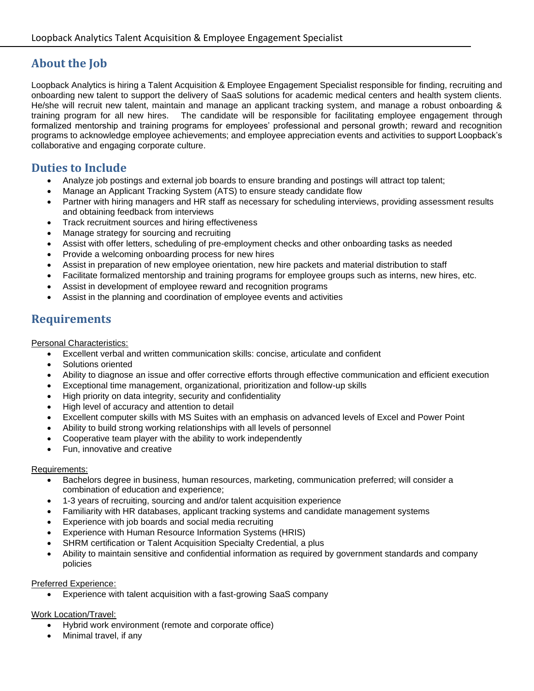# **About the Job**

Loopback Analytics is hiring a Talent Acquisition & Employee Engagement Specialist responsible for finding, recruiting and onboarding new talent to support the delivery of SaaS solutions for academic medical centers and health system clients. He/she will recruit new talent, maintain and manage an applicant tracking system, and manage a robust onboarding & training program for all new hires. The candidate will be responsible for facilitating employee engagement through formalized mentorship and training programs for employees' professional and personal growth; reward and recognition programs to acknowledge employee achievements; and employee appreciation events and activities to support Loopback's collaborative and engaging corporate culture.

### **Duties to Include**

- Analyze job postings and external job boards to ensure branding and postings will attract top talent;
- Manage an Applicant Tracking System (ATS) to ensure steady candidate flow
- Partner with hiring managers and HR staff as necessary for scheduling interviews, providing assessment results and obtaining feedback from interviews
- Track recruitment sources and hiring effectiveness
- Manage strategy for sourcing and recruiting
- Assist with offer letters, scheduling of pre-employment checks and other onboarding tasks as needed
- Provide a welcoming onboarding process for new hires
- Assist in preparation of new employee orientation, new hire packets and material distribution to staff
- Facilitate formalized mentorship and training programs for employee groups such as interns, new hires, etc.
- Assist in development of employee reward and recognition programs
- Assist in the planning and coordination of employee events and activities

### **Requirements**

Personal Characteristics:

- Excellent verbal and written communication skills: concise, articulate and confident
- Solutions oriented
- Ability to diagnose an issue and offer corrective efforts through effective communication and efficient execution
- Exceptional time management, organizational, prioritization and follow-up skills
- High priority on data integrity, security and confidentiality
- High level of accuracy and attention to detail
- Excellent computer skills with MS Suites with an emphasis on advanced levels of Excel and Power Point
- Ability to build strong working relationships with all levels of personnel
- Cooperative team player with the ability to work independently
- Fun, innovative and creative

#### Requirements:

- Bachelors degree in business, human resources, marketing, communication preferred; will consider a combination of education and experience;
- 1-3 years of recruiting, sourcing and and/or talent acquisition experience
- Familiarity with HR databases, applicant tracking systems and candidate management systems
- Experience with job boards and social media recruiting
- Experience with Human Resource Information Systems (HRIS)
- SHRM certification or Talent Acquisition Specialty Credential, a plus
- Ability to maintain sensitive and confidential information as required by government standards and company policies

#### Preferred Experience:

• Experience with talent acquisition with a fast-growing SaaS company

#### Work Location/Travel:

- Hybrid work environment (remote and corporate office)
- Minimal travel, if any